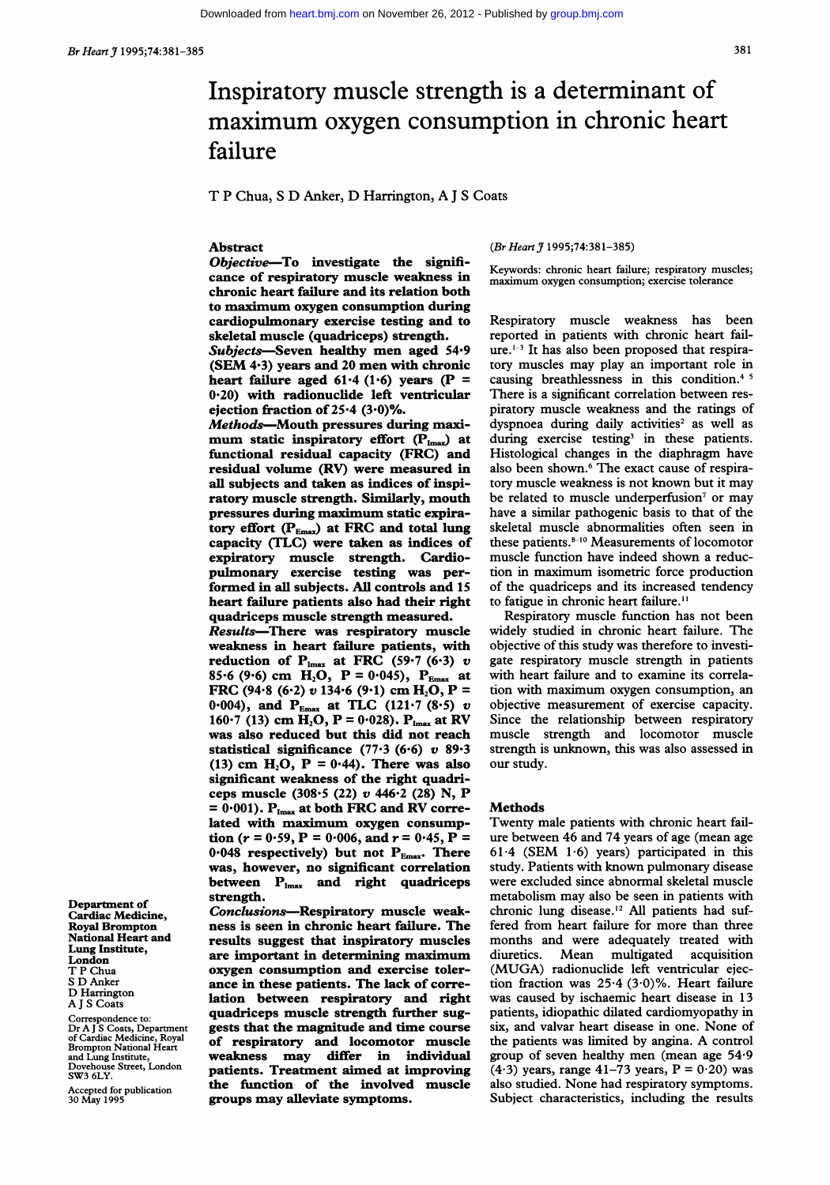# Inspiratory muscle strength is a determinant of maximum oxygen consumption in chronic heart failure

T P Chua, <sup>S</sup> D Anker, D Harrington, A <sup>J</sup> <sup>S</sup> Coats

#### Abstract

Objective-To investigate the significance of respiratory muscle weakness in chronic heart failure and its relation both to maximum oxygen consumption during cardiopulmonary exercise testing and to skeletal muscle (quadriceps) strength.

Subjects-Seven healthy men aged 54.9 (SEM 4-3) years and <sup>20</sup> men with chronic heart failure aged 61.4 (1.6) years (P = 0.20) with radionuclide left ventricular ejection fraction of  $25.4$   $(3.0)\%$ .

Methods-Mouth pressures during maximum static inspiratory effort (P<sub>Imax</sub>) at functional residual capacity (FRC) and residual volume (RV) were measured in all subjects and taken as indices of inspiratory muscle strength. Similarly, mouth pressures during maximum static expiratory effort  $(P_{Emax})$  at FRC and total lung capacity (TLC) were taken as indices of expiratory muscle strength. Cardiopulmonary exercise testing was performed in all subjects. All controls and 15 heart failure patients also had their right quadriceps muscle strength measured. Results-There was respiratory muscle weakness in heart failure patients, with reduction of  $P_{Imax}$  at FRC (59.7 (6.3) v 85.6 (9.6) cm  $H_2O$ ,  $P = 0.045$ ,  $P_{Emax}$  at FRC (94.8 (6.2) v 134.6 (9.1) cm  $H_2O$ , P = 0.004), and  $P_{Emax}$  at TLC (121.7 (8.5) v 160 $\cdot$ 7 (13) cm H<sub>2</sub>O, P = 0.028). P<sub>Imax</sub> at RV was also reduced but this did not reach statistical significance (77.3 (6.6)  $v$  89.3 (13) cm  $H_2O$ ,  $P = 0.44$ ). There was also significant weakness of the right quadriceps muscle (308.5 (22) v <sup>446</sup>'2 (28) N, P  $= 0.001$ ).  $P_{Imax}$  at both FRC and RV correlated with maximum oxygen consumption ( $r = 0.59$ ,  $P = 0.006$ , and  $r = 0.45$ ,  $P =$ 0.048 respectively) but not  $P_{Emax}$ . There was, however, no significant correlation between  $P_{Imax}$  and right quadriceps strength.

Conclusions-Respiratory muscle weakness is seen in chronic heart failure. The results suggest that inspiratory muscles are important in determining maximum oxygen consumption and exercise tolerance in these patients. The lack of correlation between respiratory and right quadriceps muscle strength further suggests that the magnitude and time course of respiratory and locomotor muscle weakness may differ in individual patients. Treatment aimed at improving the function of the involved muscle groups may alleviate symptoms.

# (Br Heart J 1995;74:381-385)

Keywords: chronic heart failure; respiratory muscles; maximum oxygen consumption; exercise tolerance

Respiratory muscle weakness has been reported in patients with chronic heart failure.1-3 It has also been proposed that respiratory muscles may play an important role in causing breathlessness in this condition.<sup>45</sup> There is a significant correlation between respiratory muscle weakness and the ratings of dyspnoea during daily activities<sup>2</sup> as well as during exercise testing<sup>3</sup> in these patients. Histological changes in the diaphragm have also been shown.<sup>6</sup> The exact cause of respiratory muscle weakness is not known but it may be related to muscle underperfusion<sup>7</sup> or may have a similar pathogenic basis to that of the skeletal muscle abnormalities often seen in these patients.<sup>8-10</sup> Measurements of locomotor muscle function have indeed shown a reduction in maximum isometric force production of the quadriceps and its increased tendency to fatigue in chronic heart failure.<sup>11</sup>

Respiratory muscle function has not been widely studied in chronic heart failure. The objective of this study was therefore to investigate respiratory muscle strength in patients with heart failure and to examine its correlation with maximum oxygen consumption, an objective measurement of exercise capacity. Since the relationship between respiratory muscle strength and locomotor muscle strength is unknown, this was also assessed in our study.

#### Methods

Twenty male patients with chronic heart failure between 46 and 74 years of age (mean age 61.4 (SEM 1.6) years) participated in this study. Patients with known pulmonary disease were excluded since abnormal skeletal muscle metabolism may also be seen in patients with chronic lung disease.'2 All patients had suffered from heart failure for more than three months and were adequately treated with diuretics. Mean multigated acquisition (MUGA) radionuclide left ventricular ejection fraction was  $25.4$  (3.0)%. Heart failure was caused by ischaemic heart disease in 13 patients, idiopathic dilated cardiomyopathy in six, and valvar heart disease in one. None of the patients was limited by angina. A control group of seven healthy men (mean age 54.9  $(4.3)$  years, range 41–73 years,  $P = 0.20$ ) was also studied. None had respiratory symptoms. Subject characteristics, including the results

Department of Cardiac Medicine, Royal Brompton National Heart and Lung Institute, London T P Chua <sup>S</sup> D Anker D Harrington A <sup>J</sup> S Coats

Correspondence to: Dr A J`S Coats, Department<br>of Cardiac Medicine, Royal<br>Brompton National Heart and Lung Institute, Dovehouse Street, London SW3 6LY.

Accepted for publication 30 May 1995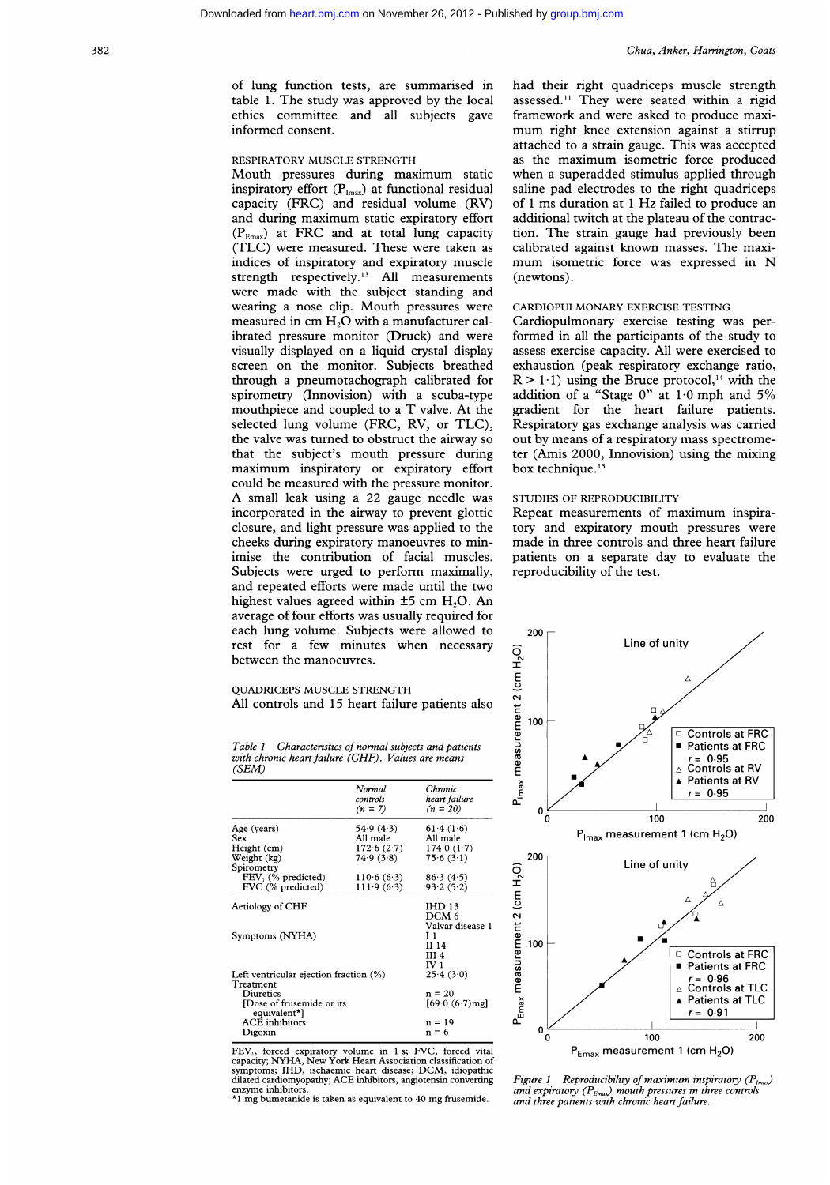of lung function tests, are summarised in table 1. The study was approved by the local ethics committee and all subjects gave informed consent.

#### RESPIRATORY MUSCLE STRENGTH

Mouth pressures during maximum static inspiratory effort  $(P_{lmax})$  at functional residual capacity (FRC) and residual volume (RV) and during maximum static expiratory effort  $(P_{Emax})$  at FRC and at total lung capacity (TLC) were measured. These were taken as indices of inspiratory and expiratory muscle strength respectively.<sup>13</sup> All measurements were made with the subject standing and wearing <sup>a</sup> nose clip. Mouth pressures were measured in cm H<sub>2</sub>O with a manufacturer calibrated pressure monitor (Druck) and were visually displayed on a liquid crystal display screen on the monitor. Subjects breathed through a pneumotachograph calibrated for spirometry (Innovision) with a scuba-type mouthpiece and coupled to a T valve. At the selected lung volume (FRC, RV, or TLC), the valve was turned to obstruct the airway so that the subject's mouth pressure during maximum inspiratory or expiratory effort could be measured with the pressure monitor. A small leak using <sup>a</sup> <sup>22</sup> gauge needle was incorporated in the airway to prevent glottic closure, and light pressure was applied to the cheeks during expiratory manoeuvres to minimise the contribution of facial muscles. Subjects were urged to perform maximally, and repeated efforts were made until the two highest values agreed within  $\pm 5$  cm H<sub>2</sub>O. An average of four efforts was usually required for each lung volume. Subjects were allowed to rest for a few minutes when necessary between the manoeuvres.

had their right quadriceps muscle strength assessed." They were seated within a rigid framework and were asked to produce maximum right knee extension against <sup>a</sup> stirrup attached to a strain gauge. This was accepted as the maximum isometric force produced when <sup>a</sup> superadded stimulus applied through saline pad electrodes to the right quadriceps of <sup>1</sup> ms duration at <sup>1</sup> Hz failed to produce an additional twitch at the plateau of the contraction. The strain gauge had previously been calibrated against known masses. The maximum isometric force was expressed in N (newtons).

### CARDIOPULMONARY EXERCISE TESTING

Cardiopulmonary exercise testing was performed in all the participants of the study to assess exercise capacity. All were exercised to exhaustion (peak respiratory exchange ratio,  $R > 1.1$ ) using the Bruce protocol,<sup>14</sup> with the addition of a "Stage  $0$ " at  $1.0$  mph and  $5\%$ gradient for the heart failure patients. Respiratory gas exchange analysis was carried out by means of a respiratory mass spectrometer (Amis 2000, Innovision) using the mixing box technique.<sup>15</sup>

## STUDIES OF REPRODUCIBILITY

Repeat measurements of maximum inspiratory and expiratory mouth pressures were made in three controls and three heart failure patients on a separate day to evaluate the reproducibility of the test.



Table <sup>1</sup> Characteristics of normal subjects and patients with chronic heart failure (CHF). Values are means (SEM)

All controls and 15 heart failure patients also

QUADRICEPS MUSCLE STRENGTH

|                                           | Normal<br>controls<br>$(n = 7)$ | Chronic<br>heart failure<br>$(n = 20)$ |
|-------------------------------------------|---------------------------------|----------------------------------------|
| Age (years)                               | 54.9(4.3)                       | 61.4(1.6)                              |
| Sex                                       | All male                        | All male                               |
| Height (cm)                               | 172.6(2.7)                      | 174.0(1.7)                             |
| Weight (kg)                               | 74.9(3.8)                       | 75.6(3.1)                              |
| Spirometry                                |                                 |                                        |
| FEV <sub>1</sub> (% predicted)            | 110.6(6.3)                      | 86.3(4.5)                              |
| FVC (% predicted)                         | 111.9(6.3)                      | 93.2(5.2)                              |
| Aetiology of CHF                          |                                 | <b>IHD 13</b>                          |
|                                           |                                 | DCM <sub>6</sub>                       |
|                                           |                                 | Valvar disease 1                       |
| Symptoms (NYHA)                           |                                 | 11                                     |
|                                           |                                 | II 14                                  |
|                                           |                                 | III 4                                  |
|                                           |                                 | IV 1                                   |
| Left ventricular ejection fraction (%)    |                                 | 25.4(3.0)                              |
| Treatment                                 |                                 |                                        |
| Diuretics                                 |                                 | $n = 20$                               |
| [Dose of frusemide or its<br>equivalent*] |                                 | $[69.0 (6.7)$ mg                       |
| ACE inhibitors                            |                                 | $n = 19$                               |
| Digoxin                                   |                                 | $n = 6$                                |

FEV,, forced expiratory volume in <sup>1</sup> s; FVC, forced vital capacity; NYHA, New York Heart Association classification of symptoms; IHD, ischaemic heart disease; DCM, idiopathic dilated cardiomyopathy; ACE inhibitors, angiotensin converting ezyme inhibitor

\*1 mg bumetanide is taken as equivalent to 40 mg frusemide.

Figure 1 Reproducibility of maximum inspiratory  $(P_{lmax})$ and expiratory ( $P_{Emax}$ ) mouth pressures in three controls and three patients with chronic heart failure.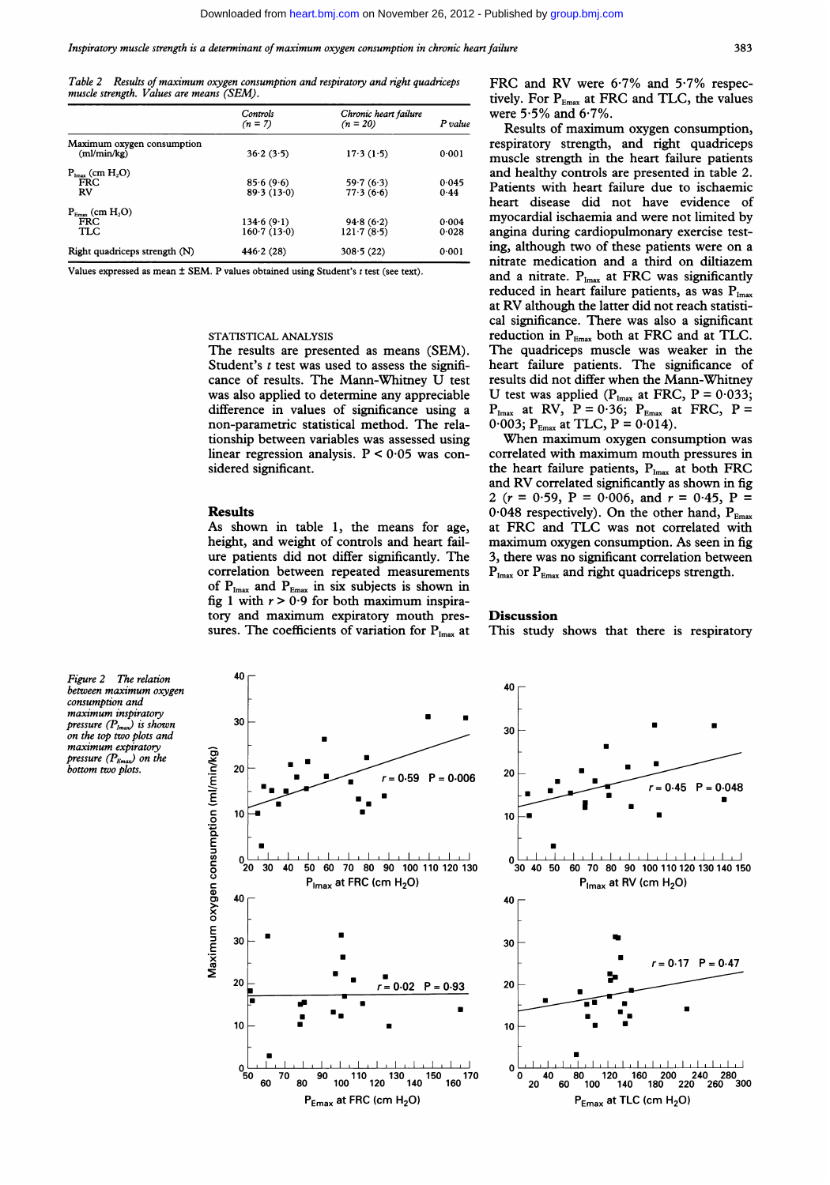Table 2 Results of maximum oxygen consumption and respiratory and right quadriceps muscle strength. Values are means (SEM).

|                                           | Controls<br>$(n = 7)$ | Chronic heart failure<br>$(n = 20)$ | P value |
|-------------------------------------------|-----------------------|-------------------------------------|---------|
| Maximum oxygen consumption<br>(ml/min/kg) | 36.2(3.5)             | 17.3(1.5)                           | 0.001   |
| $P_{lmax}$ (cm $H_2O$ )                   |                       |                                     |         |
| <b>FRC</b>                                | 85.6(9.6)             | 59.7(6.3)                           | 0.045   |
| <b>RV</b>                                 | 89.3(13.0)            | 77.3(6.6)                           | 0.44    |
| $P_{Emax}$ (cm $H_2O$ )                   |                       |                                     |         |
| <b>FRC</b>                                | 134.6(9.1)            | 94.8(6.2)                           | 0.004   |
| TLC                                       | 160.7(13.0)           | 121.7(8.5)                          | 0.028   |
| Right quadriceps strength (N)             | 446.2(28)             | 308.5(22)                           | 0.001   |
|                                           |                       |                                     |         |

Values expressed as mean  $\pm$  SEM. P values obtained using Student's  $t$  test (see text).

#### STATISTICAL ANALYSIS

The results are presented as means (SEM). Student's  $t$  test was used to assess the significance of results. The Mann-Whitney U test was also applied to determine any appreciable difference in values of significance using a non-parametric statistical method. The relationship between variables was assessed using linear regression analysis.  $P < 0.05$  was considered significant.

#### Results

As shown in table 1, the means for age, height, and weight of controls and heart failure patients did not differ significantly. The correlation between repeated measurements of  $P_{Imax}$  and  $P_{Emax}$  in six subjects is shown in fig 1 with  $r > 0.9$  for both maximum inspiratory and maximum expiratory mouth pressures. The coefficients of variation for  $P_{lmax}$  at FRC and RV were 6-7% and 5-7% respectively. For  $P_{Emax}$  at FRC and TLC, the values were 5-5% and 6-7%.

Results of maximum oxygen consumption, respiratory strength, and right quadriceps muscle strength in the heart failure patients and healthy controls are presented in table 2. Patients with heart failure due to ischaemic heart disease did not have evidence of myocardial ischaemia and were not limited by angina during cardiopulmonary exercise testing, although two of these patients were on a nitrate medication and a third on diltiazem and a nitrate.  $P_{\text{Imax}}$  at FRC was significantly reduced in heart failure patients, as was  $P_{Imax}$ at RV although the latter did not reach statistical significance. There was also a significant reduction in  $P_{Emax}$  both at FRC and at TLC. The quadriceps muscle was weaker in the heart failure patients. The significance of results did not differ when the Mann-Whitney U test was applied ( $P_{Imax}$  at FRC,  $P = 0.033$ ;  $P_{\text{Imax}}$  at RV,  $P = 0.36$ ;  $P_{\text{Emax}}$  at FRC,  $P =$  $0.003$ ;  $P_{Emax}$  at TLC,  $P = 0.014$ ).

When maximum oxygen consumption was correlated with maximum mouth pressures in the heart failure patients,  $P_{Imax}$  at both FRC and RV correlated significantly as shown in fig 2 ( $r = 0.59$ ,  $P = 0.006$ , and  $r = 0.45$ ,  $P =$ 0.048 respectively). On the other hand,  $P_{Emax}$ at FRC and TLC was not correlated with maximum oxygen consumption. As seen in fig 3, there was no significant correlation between  $P_{Imax}$  or  $P_{Emax}$  and right quadriceps strength.

#### **Discussion**

This study shows that there is respiratory

Figure 2 The relation between maximum oxygen consumption and maximum inspiratory pressure  $(P_{lmax})$  is shown on the top two plots and maximum expiratory pressure  $(P_{Emax})$  on the bottom two plots.



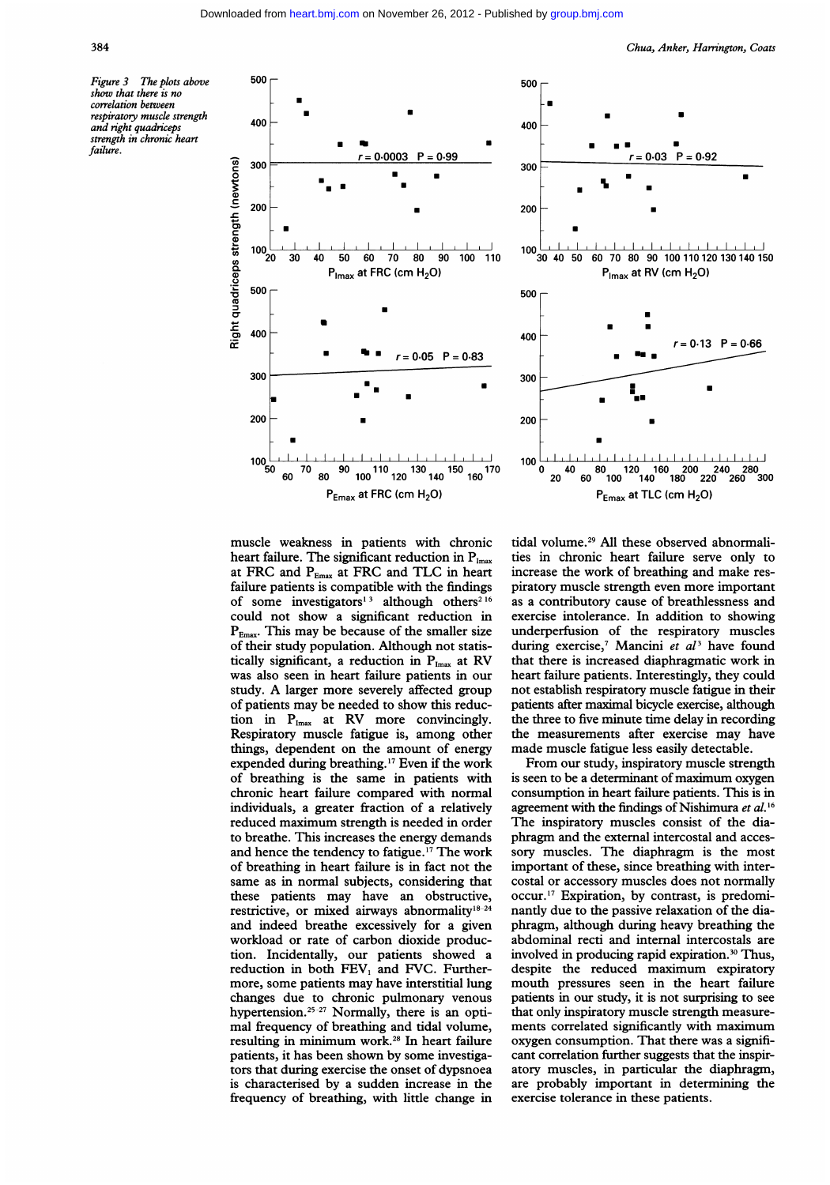Figure 3 The plots above show that there is no correlation between respiratory muscle strength and right quadniceps strength in chronic heart failure.



-U

Chua, Anker, Harrington, Coats



muscle weakness in patients with chronic heart failure. The significant reduction in  $P_{\text{Imax}}$ at FRC and  $P_{Emax}$  at FRC and TLC in heart failure patients is compatible with the findings of some investigators<sup>13</sup> although others<sup>216</sup> could not show a significant reduction in  $P_{Emax}$ . This may be because of the smaller size of their study population. Although not statistically significant, a reduction in  $P_{Imax}$  at RV was also seen in heart failure patients in our study. A larger more severely affected group of patients may be needed to show this reduction in  $P_{\text{Imax}}$  at RV more convincingly. Respiratory muscle fatigue is, among other things, dependent on the amount of energy expended during breathing.'7 Even if the work of breathing is the same in patients with chronic heart failure compared with normal individuals, a greater fraction of a relatively reduced maximum strength is needed in order to breathe. This increases the energy demands and hence the tendency to fatigue.17 The work of breathing in heart failure is in fact not the same as in normal subjects, considering that these patients may have an obstructive, restrictive, or mixed airways abnormality'8-24 and indeed breathe excessively for a given workload or rate of carbon dioxide production. Incidentally, our patients showed a reduction in both  $FEV<sub>1</sub>$  and FVC. Furthermore, some patients may have interstitial lung changes due to chronic pulmonary venous hypertension.<sup>25-27</sup> Normally, there is an optimal frequency of breathing and tidal volume, resulting in minimum work.28 In heart failure patients, it has been shown by some investigators that during exercise the onset of dypsnoea is characterised by a sudden increase in the frequency of breathing, with little change in

tidal volume.29 All these observed abnormalities in chronic heart failure serve only to increase the work of breathing and make respiratory muscle strength even more important as a contributory cause of breathlessness and exercise intolerance. In addition to showing underperfusion of the respiratory muscles during exercise,<sup>7</sup> Mancini et  $al<sup>3</sup>$  have found that there is increased diaphragmatic work in heart failure patients. Interestingly, they could not establish respiratory muscle fatigue in their patients after maximal bicycle exercise, although the three to five minute time delay in recording the measurements after exercise may have made muscle fatigue less easily detectable.

From our study, inspiratory muscle strength is seen to be <sup>a</sup> determinant of maximum oxygen consumption in heart failure patients. This is in agreement with the findings of Nishimura et al.<sup>16</sup> The inspiratory muscles consist of the diaphragm and the external intercostal and accessory muscles. The diaphragm is the most important of these, since breathing with intercostal or accessory muscles does not normally occur.'7 Expiration, by contrast, is predominantly due to the passive relaxation of the diaphragm, although during heavy breathing the abdominal recti and internal intercostals are involved in producing rapid expiration.<sup>30</sup> Thus, despite the reduced maximum expiratory mouth pressures seen in the heart failure patients in our study, it is not surprising to see that only inspiratory muscle strength measurements correlated significantly with maximum oxygen consumption. That there was a significant correlation further suggests that the inspiratory muscles, in particular the diaphragm, are probably important in determining the exercise tolerance in these patients.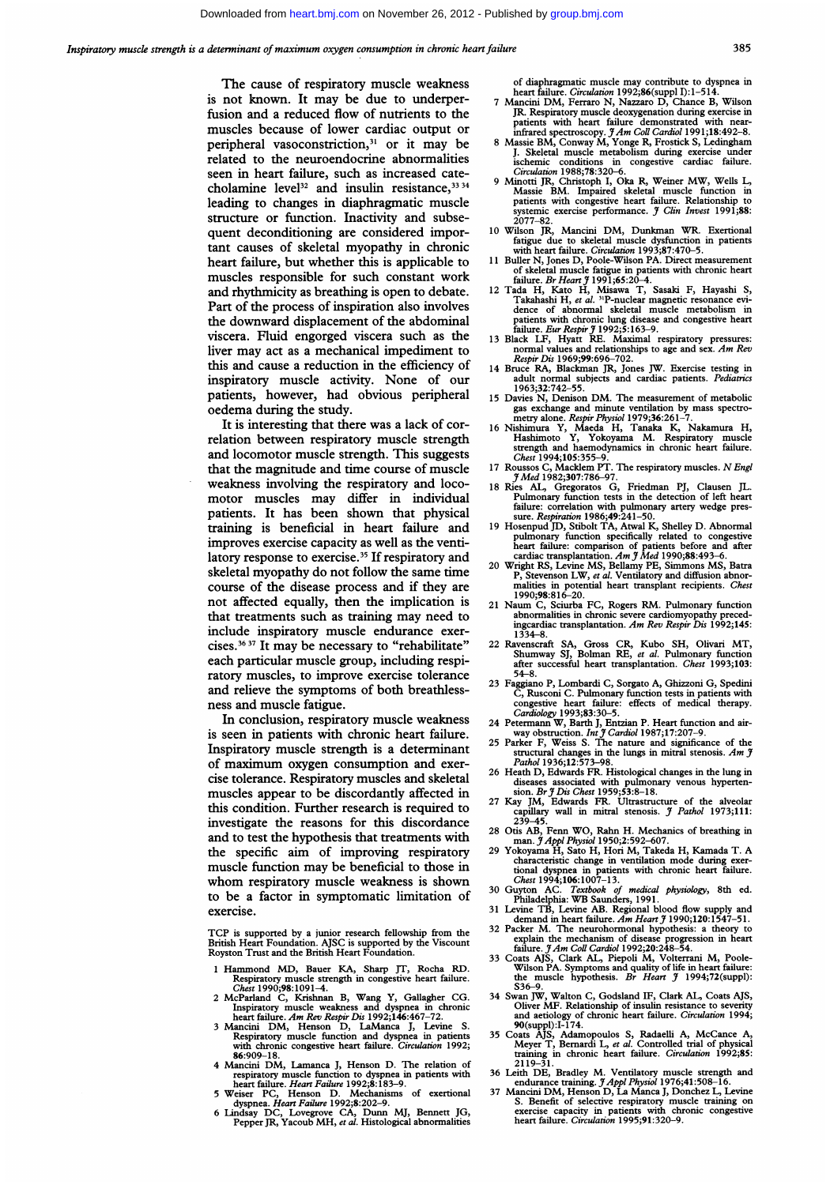The cause of respiratory muscle weakness is not known. It may be due to underperfusion and a reduced flow of nutrients to the muscles because of lower cardiac output or peripheral vasoconstriction,<sup>31</sup> or it may be related to the neuroendocrine abnormalities seen in heart failure, such as increased catecholamine level<sup>32</sup> and insulin resistance,  $33\frac{34}{3}$ leading to changes in diaphragmatic muscle structure or function. Inactivity and subsequent deconditioning are considered important causes of skeletal myopathy in chronic heart failure, but whether this is applicable to muscles responsible for such constant work and rhythmicity as breathing is open to debate. Part of the process of inspiration also involves the downward displacement of the abdominal viscera. Fluid engorged viscera such as the liver may act as <sup>a</sup> mechanical impediment to this and cause a reduction in the efficiency of inspiratory muscle activity. None of our patients, however, had obvious peripheral oedema during the study.

It is interesting that there was a lack of correlation between respiratory muscle strength and locomotor muscle strength. This suggests that the magnitude and time course of muscle weakness involving the respiratory and locomotor muscles may differ in individual patients. It has been shown that physical training is beneficial in heart failure and improves exercise capacity as well as the ventilatory response to exercise.<sup>35</sup> If respiratory and skeletal myopathy do not follow the same time course of the disease process and if they are not affected equally, then the implication is that treatments such as training may need to include inspiratory muscle endurance exercises.3637 It may be necessary to "rehabilitate" each particular muscle group, including respiratory muscles, to improve exercise tolerance and relieve the symptoms of both breathlessness and muscle fatigue.

In conclusion, respiratory muscle weakness is seen in patients with chronic heart failure. Inspiratory muscle strength is a determinant of maximum oxygen consumption and exercise tolerance. Respiratory muscles and skeletal muscles appear to be discordantly affected in this condition. Further research is required to investigate the reasons for this discordance and to test the hypothesis that treatments with the specific aim of improving respiratory muscle function may be beneficial to those in whom respiratory muscle weakness is shown to be a factor in symptomatic limitation of exercise.

TCP is supported by <sup>a</sup> junior research fellowship from the British Heart Foundation. AJSC is supported by the Viscount Royston Trust and the British Heart Foundation.

- <sup>1</sup> Hammond MD, Bauer KA, Sharp JT, Rocha RD. Respiratory muscle strength in congestive heart failure. Chest 1990;98:1091-4.
- 
- 2 McParland C, Krishnan B, Wang Y, Gallagher CG.<br>
Inspiratory muscle weakness and dyspnea in chronic<br>
heart failure. Am Rev Respir Dis 1992;146:467-72.<br>
3 Mancini DM, Henson D, LaManca J, Levine S.<br>
Respiratory muscle func
- **86:909–18.**<br> **A Mancial DM, Lamanca J, Henson D. The relation of**<br> **A Mancial DM, Lamanca J, Henson D. The relations with<br>
heart failure. Heart Failure 1992;8:183–9.<br>
5 Weiser PC, Henson D. Mechanisms of exertional<br>
dysp**
- 
- 

- of diaphragmatic muscle may contribute to dyspnea in<br>heart failure. Circulation 1992;86(suppl J):1-514.<br>7 Mancini DM, Ferraro N, Nazzaro D, Chance B, Wilson<br>JR. Respiratory muscle deoxygenation during exercise in<br>patients
- J. Skeletal muscle metabolism during exercise under ischemic conditions in congestive cardiac failure. Circulation 1988;78:320-6.
- 9 Minotti JR, Christoph I, Oka R, Weiner MW, Wells L, Massie BM. Impaired skeletal muscle function in patients with congestive heart failure. Relationship to systemic exercise performance.  $\hat{y}$  Clin Invest 1991;88: 2077
- <sup>10</sup> Wilson JR, Mancini DM, Dunkman WR. Exertional fatigue due to skeletal muscle dysfunction in patients with heart failure. Circulation 1993;87:470-5.
- 
- 11 Buller N, Jones D, Poole-Wilson PA. Direct measurement<br>of skeletal muscle fatigue in patients with chronic heart<br>failure. Br Heart j 1991;65:20-4.<br>12 Tada H, Kato H, Misawa T, Sasaki F, Hayashi S,<br>Takahashi H, et al. <sup></sup>
- 
- adult normal subjects and cardiac patients. *Pediatrics*<br>1963;32:742–55.
- <sup>15</sup> Davies N, Denison DM. The measurement of metabolic
- gas exchange and minute ventilation by mass spectrometry alone. Respir Physiol 1979;36:261-7.<br>16 Nishimura Y, Maeda H, Tanaka K, Nakamura H, Hashimoto Y, Yokoyama M. Respiratory muscle strength and haemodynamics in chronic
- Chest 1994;105:355-9.<br>17 Roussos C, Macklem PT. The respiratory muscles. N Engl JMed 1982;307:786-97. 18 Ries AL, Gregoratos G, Friedman PJ, Clausen JL.
- Pulmonary function tests in the detection of left heart<br>failure: correlation with pulmonary artery wedge pres-<br>sure. Respiration 1986;49:241-50.<br>19 Hosenpud JD, Stibolt TA, Atwal K, Shelley D. Abnormal
- pulmonary function specifically related to congestive<br>heart failure: comparison of patients before and after<br>cardiac transplantation. Am J Med 1990;88:493-6.<br>20 Wright RS, Levine MS, Bellamy PE, Simmons MS, Batra
- P, Stevenson LW, et al. Ventilatory and diffusion abnor-<br>malities in potential heart transplant recipients. *Chest*<br>1990;98:816–20.
- <sup>21</sup> Naum C, Sciurba FC, Rogers RM. Pulmonary function abnormalities in chronic severe cardiomyopathy preced-<br>ingcardiac transplantation. Am Rev Respir Dis 1992;145:<br>1334–8.
- 22 Ravenscraft SA, Gross CR, Kubo SH, Olivari MT, Shumway SJ, Bolman RE, et al. Pulmonary function after successful heart transplantation. Chest 1993;103: 54-8.
- 23 Faggiano P, Lombardi C, Sorgato A, Ghizzoni G, Spedini
- 
- C, Rusconi C. Pulmonary function tests in patients with<br>congestive heart failure: effects of medical therapy.<br>Cardiology 1993;83:30-5.<br>24 Petermann W, Barth J, Entzian P. Heart function and air-<br>way obstruction. *Int*  $\til$
- 
- diseases associated with pulmonary venous hypertension. Br J Dis Chest 1959;53:8-18.<br>Kay JM, Edwards FR. Ultrastructure of the alveolar<br>capillary wall in mitral stenosis. J Pathol 1973;111:
- 239-45.<br>28 Otis AB, Fenn WO, Rahn H. Mechanics of breathing in<br>man. *J Appl Physiol* 1950;2:592–607.<br>29 Yokoyama H, Sato H, Hori M, Takeda H, Kamada T. A
- characteristic change in ventilation mode during exertional dyspnea in patients with chronic heart failure.<br>Chest 1994;106:1007-13.<br>Guyton AC. Textbook of medical physiology, 8th ed.<br>Philadelphia: WB Saunders, 1991.<br>31 Lev
- 
- demand in heart failure. Am Heart J° 1990;120:1547-51.<br>32 Packer M. The neurohormonal hypothesis: a theory to
- 
- 32 Packer M. The neurohormonal hypothesis: a theory to<br>explain the mechanism of disease progression in heart<br>failure.  $\frac{3}{2}$  *Am* Coll Cardiol 1992;20:248-54.<br>33 Coats AJS, Clark AL, Piepoli M, Volterrani M, Poole-<br>Wil
- 34 Swan JW, Walton C, Godsland IF, Clark AL, Coats AJS,<br>
Oliver MF. Relationship of insulin resistance to severity<br>
and aetiology of chronic heart failure. *Circulation* 1994;<br>
90(suppl):1-174.<br>
35 Coats AJS, Adamopoulos
- 
- 
- 36 Leith DE, Bradley M. Ventilatory muscle strength and<br>endurance training.  $\mathcal{J}Appl$  Physiod 1976;41:508-16.<br>37 Mancini DM, Henson D, La Manca J, Donchez L, Levine<br>5. Benefit of selective respiratory muscle training on<br>